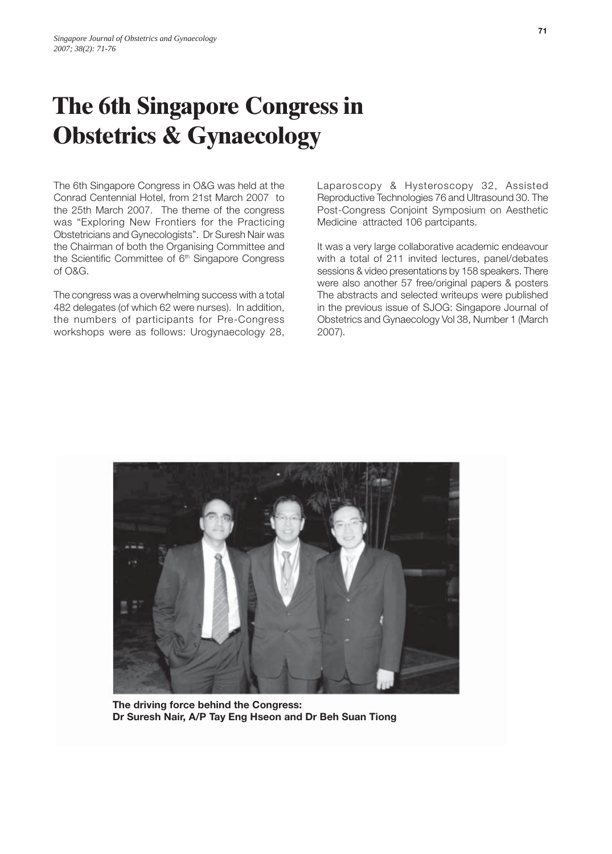## **The 6th Singapore Congress in Obstetrics & Gynaecology**

The 6th Singapore Congress in O&G was held at the Conrad Centennial Hotel, from 21st March 2007 to the 25th March 2007. The theme of the congress was "Exploring New Frontiers for the Practicing Obstetricians and Gynecologists". Dr Suresh Nair was the Chairman of both the Organising Committee and the Scientific Committee of  $6<sup>th</sup>$  Singapore Congress of O&G.

The congress was a overwhelming success with a total 482 delegates (of which 62 were nurses). In addition, the numbers of participants for Pre-Congress workshops were as follows: Urogynaecology 28,

Laparoscopy & Hysteroscopy 32, Assisted Reproductive Technologies 76 and Ultrasound 30. The Post-Congress Conjoint Symposium on Aesthetic Medicine attracted 106 partcipants.

It was a very large collaborative academic endeavour with a total of 211 invited lectures, panel/debates sessions & video presentations by 158 speakers. There were also another 57 free/original papers & posters The abstracts and selected writeups were published in the previous issue of SJOG: Singapore Journal of Obstetrics and Gynaecology Vol 38, Number 1 (March 2007).



**The driving force behind the Congress: Dr Suresh Nair, A/P Tay Eng Hseon and Dr Beh Suan Tiong**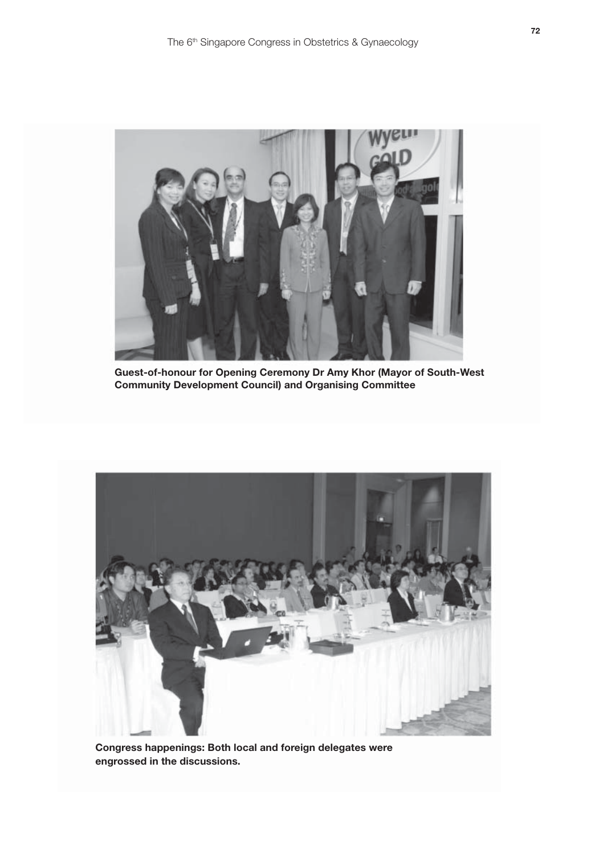

**Guest-of-honour for Opening Ceremony Dr Amy Khor (Mayor of South-West Community Development Council) and Organising Committee**



**Congress happenings: Both local and foreign delegates were engrossed in the discussions.**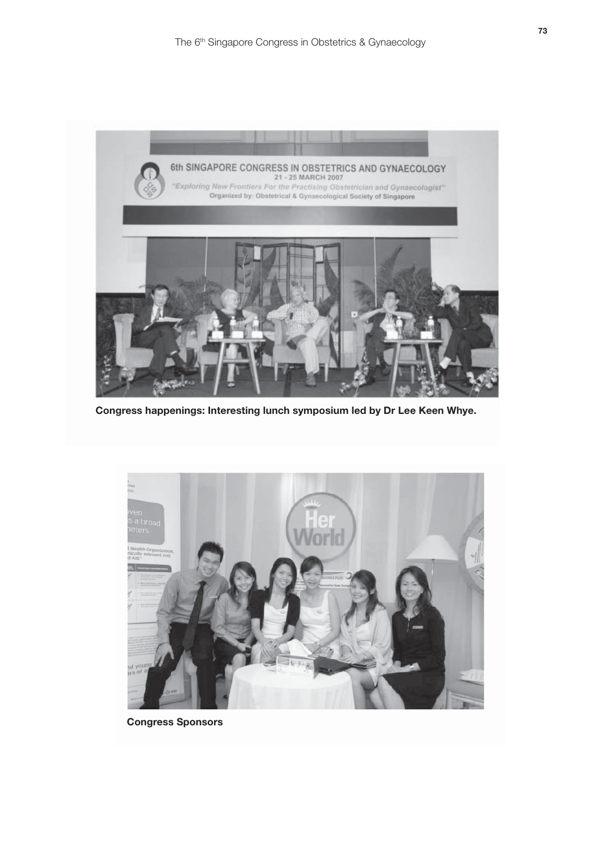

**Congress happenings: Interesting lunch symposium led by Dr Lee Keen Whye.**



**Congress Sponsors**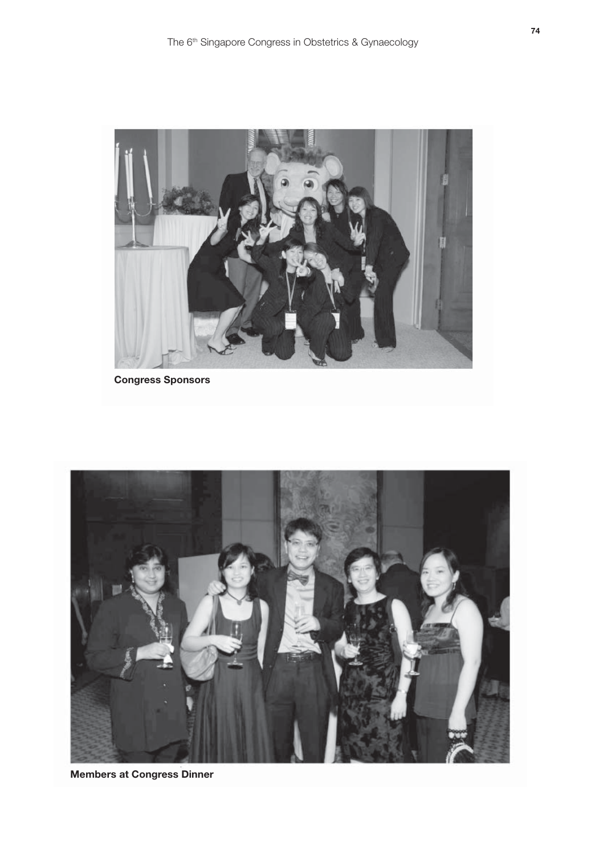

```
Congress Sponsors
```


**Members at Congress Dinner**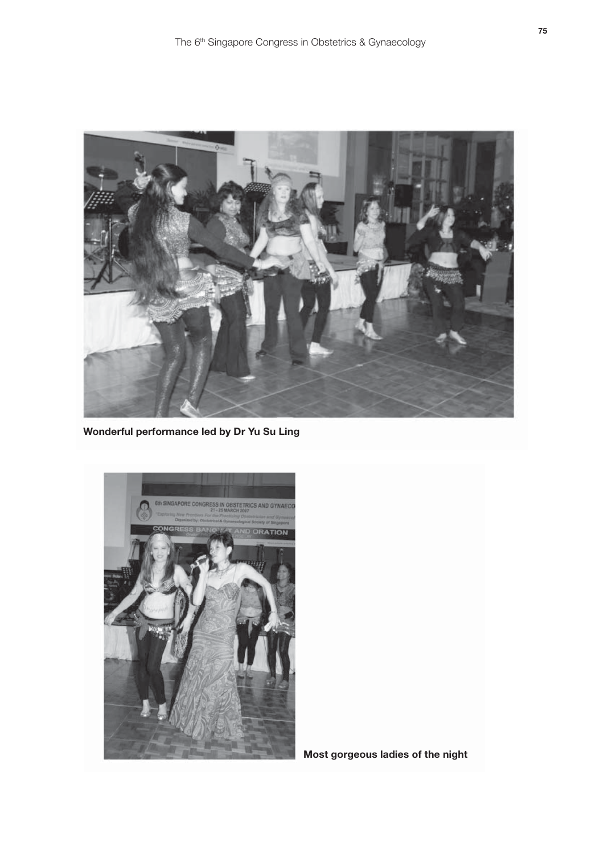

**Wonderful performance led by Dr Yu Su Ling**



**Most gorgeous ladies of the night**